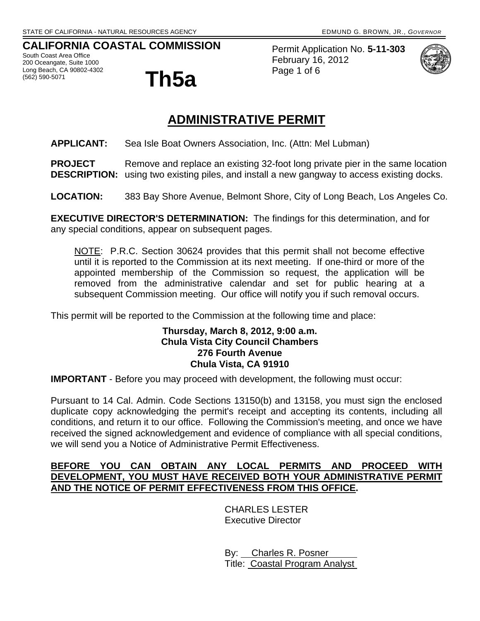## **CALIFORNIA COASTAL COMMISSION**

South Coast Area Office 200 Oceangate, Suite 1000 Long Beach, CA 90802-4302



Permit Application No. **5-11-303** February 16, 2012 Page 1 of 6



# **ADMINISTRATIVE PERMIT**

**APPLICANT:** Sea Isle Boat Owners Association, Inc. (Attn: Mel Lubman)

**PROJECT** Remove and replace an existing 32-foot long private pier in the same location **DESCRIPTION:** using two existing piles, and install a new gangway to access existing docks.

**LOCATION:** 383 Bay Shore Avenue, Belmont Shore, City of Long Beach, Los Angeles Co.

**EXECUTIVE DIRECTOR'S DETERMINATION:** The findings for this determination, and for any special conditions, appear on subsequent pages.

NOTE: P.R.C. Section 30624 provides that this permit shall not become effective until it is reported to the Commission at its next meeting. If one-third or more of the appointed membership of the Commission so request, the application will be removed from the administrative calendar and set for public hearing at a subsequent Commission meeting. Our office will notify you if such removal occurs.

This permit will be reported to the Commission at the following time and place:

#### **Thursday, March 8, 2012, 9:00 a.m. Chula Vista City Council Chambers 276 Fourth Avenue Chula Vista, CA 91910**

**IMPORTANT** - Before you may proceed with development, the following must occur:

Pursuant to 14 Cal. Admin. Code Sections 13150(b) and 13158, you must sign the enclosed duplicate copy acknowledging the permit's receipt and accepting its contents, including all conditions, and return it to our office. Following the Commission's meeting, and once we have received the signed acknowledgement and evidence of compliance with all special conditions, we will send you a Notice of Administrative Permit Effectiveness.

#### **BEFORE YOU CAN OBTAIN ANY LOCAL PERMITS AND PROCEED WITH DEVELOPMENT, YOU MUST HAVE RECEIVED BOTH YOUR ADMINISTRATIVE PERMIT AND THE NOTICE OF PERMIT EFFECTIVENESS FROM THIS OFFICE.**

 CHARLES LESTER Executive Director

 By: Charles R. Posner Title: Coastal Program Analyst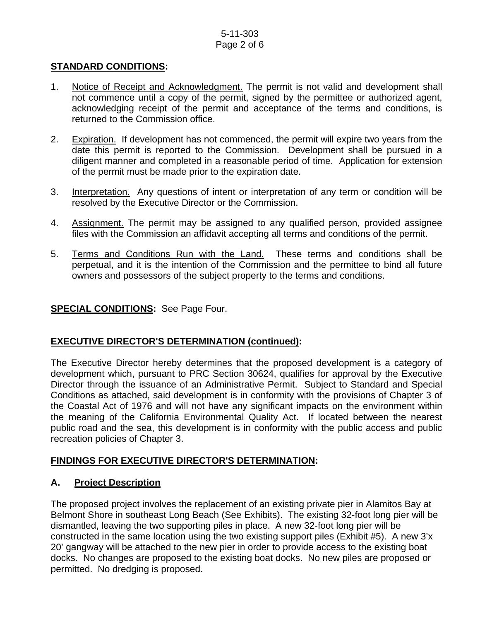#### 5-11-303 Page 2 of 6

## **STANDARD CONDITIONS:**

- 1. Notice of Receipt and Acknowledgment. The permit is not valid and development shall not commence until a copy of the permit, signed by the permittee or authorized agent, acknowledging receipt of the permit and acceptance of the terms and conditions, is returned to the Commission office.
- 2. Expiration. If development has not commenced, the permit will expire two years from the date this permit is reported to the Commission. Development shall be pursued in a diligent manner and completed in a reasonable period of time. Application for extension of the permit must be made prior to the expiration date.
- 3. Interpretation. Any questions of intent or interpretation of any term or condition will be resolved by the Executive Director or the Commission.
- 4. Assignment. The permit may be assigned to any qualified person, provided assignee files with the Commission an affidavit accepting all terms and conditions of the permit.
- 5. Terms and Conditions Run with the Land. These terms and conditions shall be perpetual, and it is the intention of the Commission and the permittee to bind all future owners and possessors of the subject property to the terms and conditions.

## **SPECIAL CONDITIONS:** See Page Four.

## **EXECUTIVE DIRECTOR'S DETERMINATION (continued):**

The Executive Director hereby determines that the proposed development is a category of development which, pursuant to PRC Section 30624, qualifies for approval by the Executive Director through the issuance of an Administrative Permit. Subject to Standard and Special Conditions as attached, said development is in conformity with the provisions of Chapter 3 of the Coastal Act of 1976 and will not have any significant impacts on the environment within the meaning of the California Environmental Quality Act. If located between the nearest public road and the sea, this development is in conformity with the public access and public recreation policies of Chapter 3.

## **FINDINGS FOR EXECUTIVE DIRECTOR'S DETERMINATION:**

## **A. Project Description**

The proposed project involves the replacement of an existing private pier in Alamitos Bay at Belmont Shore in southeast Long Beach (See Exhibits). The existing 32-foot long pier will be dismantled, leaving the two supporting piles in place. A new 32-foot long pier will be constructed in the same location using the two existing support piles (Exhibit #5). A new 3'x 20' gangway will be attached to the new pier in order to provide access to the existing boat docks. No changes are proposed to the existing boat docks. No new piles are proposed or permitted. No dredging is proposed.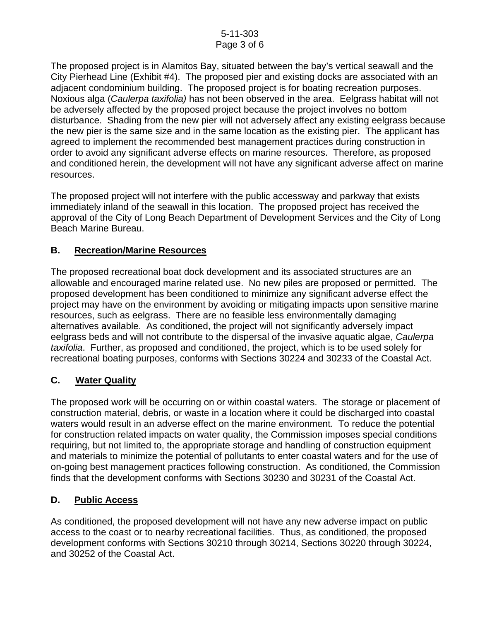The proposed project is in Alamitos Bay, situated between the bay's vertical seawall and the City Pierhead Line (Exhibit #4). The proposed pier and existing docks are associated with an adjacent condominium building. The proposed project is for boating recreation purposes. Noxious alga (*Caulerpa taxifolia)* has not been observed in the area. Eelgrass habitat will not be adversely affected by the proposed project because the project involves no bottom disturbance. Shading from the new pier will not adversely affect any existing eelgrass because the new pier is the same size and in the same location as the existing pier. The applicant has agreed to implement the recommended best management practices during construction in order to avoid any significant adverse effects on marine resources. Therefore, as proposed and conditioned herein, the development will not have any significant adverse affect on marine resources.

The proposed project will not interfere with the public accessway and parkway that exists immediately inland of the seawall in this location. The proposed project has received the approval of the City of Long Beach Department of Development Services and the City of Long Beach Marine Bureau.

## **B. Recreation/Marine Resources**

The proposed recreational boat dock development and its associated structures are an allowable and encouraged marine related use. No new piles are proposed or permitted. The proposed development has been conditioned to minimize any significant adverse effect the project may have on the environment by avoiding or mitigating impacts upon sensitive marine resources, such as eelgrass. There are no feasible less environmentally damaging alternatives available. As conditioned, the project will not significantly adversely impact eelgrass beds and will not contribute to the dispersal of the invasive aquatic algae, *Caulerpa taxifolia*. Further, as proposed and conditioned, the project, which is to be used solely for recreational boating purposes, conforms with Sections 30224 and 30233 of the Coastal Act.

## **C. Water Quality**

The proposed work will be occurring on or within coastal waters. The storage or placement of construction material, debris, or waste in a location where it could be discharged into coastal waters would result in an adverse effect on the marine environment. To reduce the potential for construction related impacts on water quality, the Commission imposes special conditions requiring, but not limited to, the appropriate storage and handling of construction equipment and materials to minimize the potential of pollutants to enter coastal waters and for the use of on-going best management practices following construction. As conditioned, the Commission finds that the development conforms with Sections 30230 and 30231 of the Coastal Act.

## **D. Public Access**

As conditioned, the proposed development will not have any new adverse impact on public access to the coast or to nearby recreational facilities. Thus, as conditioned, the proposed development conforms with Sections 30210 through 30214, Sections 30220 through 30224, and 30252 of the Coastal Act.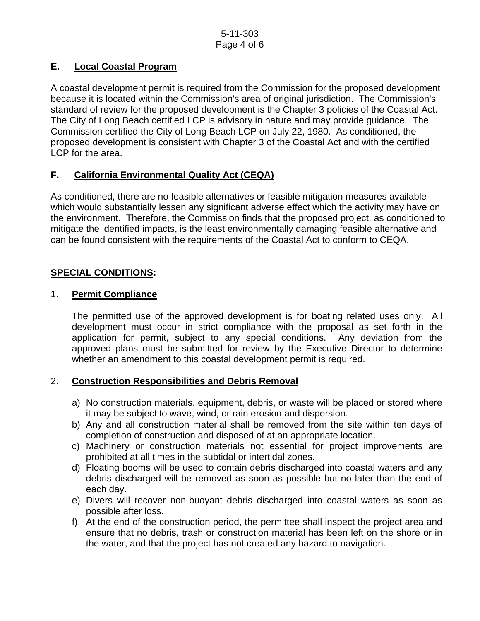## **E. Local Coastal Program**

A coastal development permit is required from the Commission for the proposed development because it is located within the Commission's area of original jurisdiction. The Commission's standard of review for the proposed development is the Chapter 3 policies of the Coastal Act. The City of Long Beach certified LCP is advisory in nature and may provide guidance. The Commission certified the City of Long Beach LCP on July 22, 1980. As conditioned, the proposed development is consistent with Chapter 3 of the Coastal Act and with the certified LCP for the area.

## **F. California Environmental Quality Act (CEQA)**

As conditioned, there are no feasible alternatives or feasible mitigation measures available which would substantially lessen any significant adverse effect which the activity may have on the environment. Therefore, the Commission finds that the proposed project, as conditioned to mitigate the identified impacts, is the least environmentally damaging feasible alternative and can be found consistent with the requirements of the Coastal Act to conform to CEQA.

#### **SPECIAL CONDITIONS:**

#### 1. **Permit Compliance**

 The permitted use of the approved development is for boating related uses only. All development must occur in strict compliance with the proposal as set forth in the application for permit, subject to any special conditions. Any deviation from the approved plans must be submitted for review by the Executive Director to determine whether an amendment to this coastal development permit is required.

#### 2. **Construction Responsibilities and Debris Removal**

- a) No construction materials, equipment, debris, or waste will be placed or stored where it may be subject to wave, wind, or rain erosion and dispersion.
- b) Any and all construction material shall be removed from the site within ten days of completion of construction and disposed of at an appropriate location.
- c) Machinery or construction materials not essential for project improvements are prohibited at all times in the subtidal or intertidal zones.
- d) Floating booms will be used to contain debris discharged into coastal waters and any debris discharged will be removed as soon as possible but no later than the end of each day.
- e) Divers will recover non-buoyant debris discharged into coastal waters as soon as possible after loss.
- f) At the end of the construction period, the permittee shall inspect the project area and ensure that no debris, trash or construction material has been left on the shore or in the water, and that the project has not created any hazard to navigation.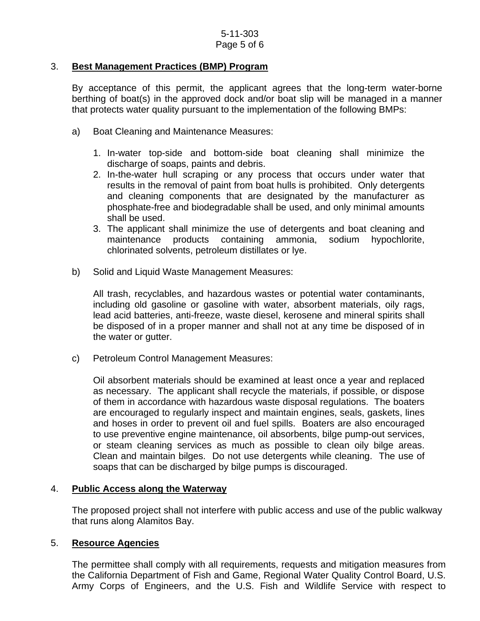#### 3. **Best Management Practices (BMP) Program**

By acceptance of this permit, the applicant agrees that the long-term water-borne berthing of boat(s) in the approved dock and/or boat slip will be managed in a manner that protects water quality pursuant to the implementation of the following BMPs:

- a) Boat Cleaning and Maintenance Measures:
	- 1. In-water top-side and bottom-side boat cleaning shall minimize the discharge of soaps, paints and debris.
	- 2. In-the-water hull scraping or any process that occurs under water that results in the removal of paint from boat hulls is prohibited. Only detergents and cleaning components that are designated by the manufacturer as phosphate-free and biodegradable shall be used, and only minimal amounts shall be used.
	- 3. The applicant shall minimize the use of detergents and boat cleaning and maintenance products containing ammonia, sodium hypochlorite, chlorinated solvents, petroleum distillates or lye.
- b) Solid and Liquid Waste Management Measures:

All trash, recyclables, and hazardous wastes or potential water contaminants, including old gasoline or gasoline with water, absorbent materials, oily rags, lead acid batteries, anti-freeze, waste diesel, kerosene and mineral spirits shall be disposed of in a proper manner and shall not at any time be disposed of in the water or gutter.

c) Petroleum Control Management Measures:

Oil absorbent materials should be examined at least once a year and replaced as necessary. The applicant shall recycle the materials, if possible, or dispose of them in accordance with hazardous waste disposal regulations. The boaters are encouraged to regularly inspect and maintain engines, seals, gaskets, lines and hoses in order to prevent oil and fuel spills. Boaters are also encouraged to use preventive engine maintenance, oil absorbents, bilge pump-out services, or steam cleaning services as much as possible to clean oily bilge areas. Clean and maintain bilges. Do not use detergents while cleaning. The use of soaps that can be discharged by bilge pumps is discouraged.

#### 4. **Public Access along the Waterway**

The proposed project shall not interfere with public access and use of the public walkway that runs along Alamitos Bay.

#### 5. **Resource Agencies**

The permittee shall comply with all requirements, requests and mitigation measures from the California Department of Fish and Game, Regional Water Quality Control Board, U.S. Army Corps of Engineers, and the U.S. Fish and Wildlife Service with respect to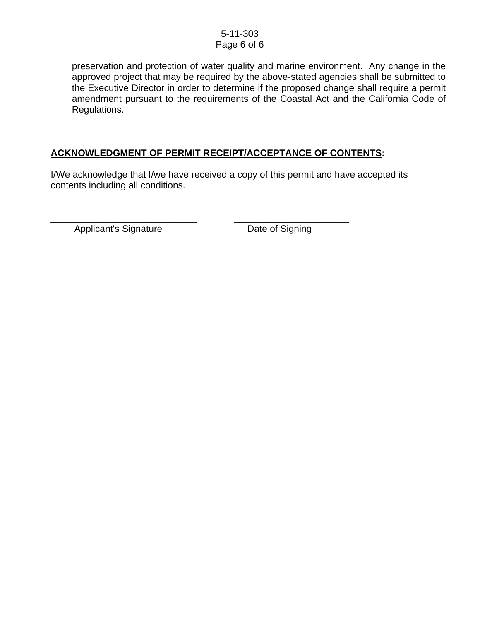#### 5-11-303 Page 6 of 6

preservation and protection of water quality and marine environment. Any change in the approved project that may be required by the above-stated agencies shall be submitted to the Executive Director in order to determine if the proposed change shall require a permit amendment pursuant to the requirements of the Coastal Act and the California Code of Regulations.

## **ACKNOWLEDGMENT OF PERMIT RECEIPT/ACCEPTANCE OF CONTENTS:**

I/We acknowledge that I/we have received a copy of this permit and have accepted its contents including all conditions.

\_\_\_\_\_\_\_\_\_\_\_\_\_\_\_\_\_\_\_\_\_\_\_\_\_\_\_\_ \_\_\_\_\_\_\_\_\_\_\_\_\_\_\_\_\_\_\_\_\_\_ Applicant's Signature Date of Signing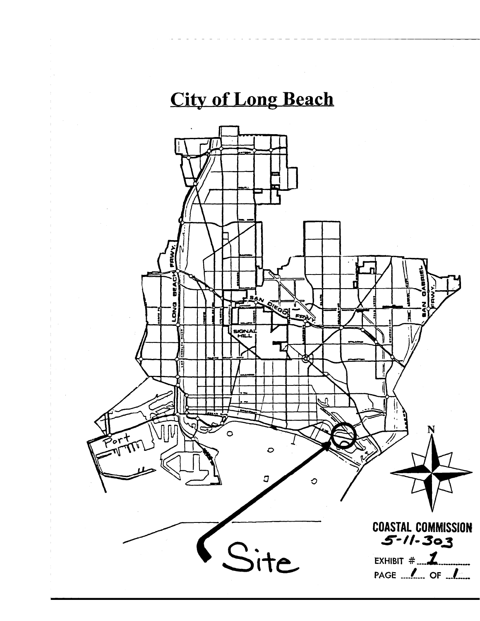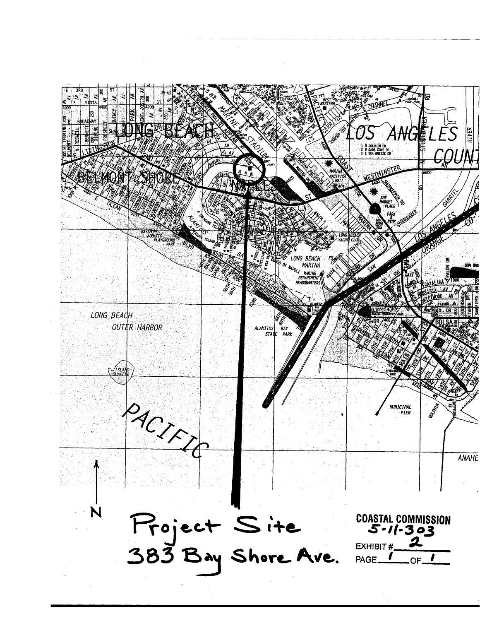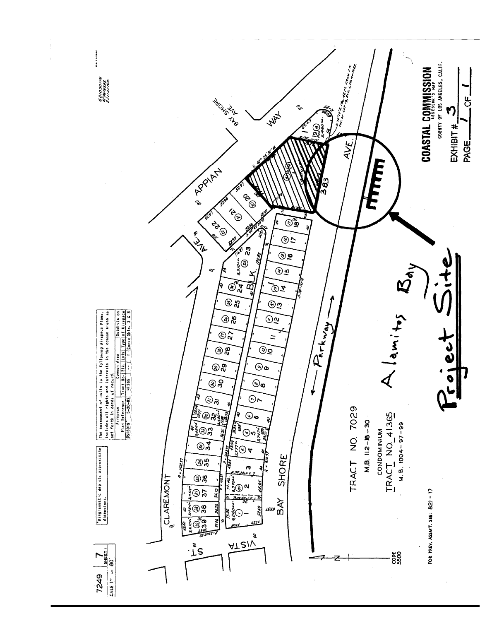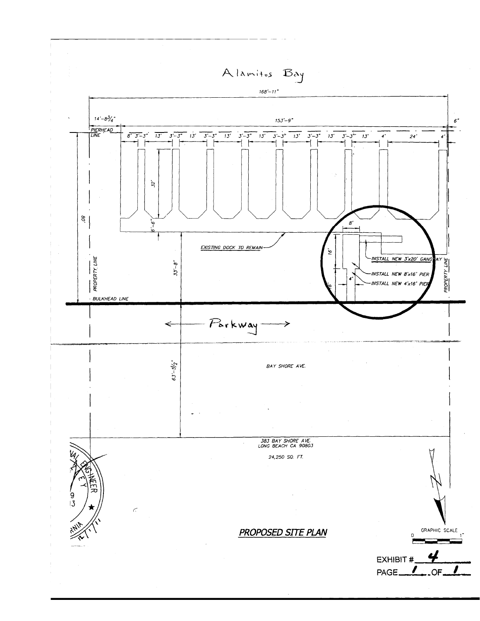